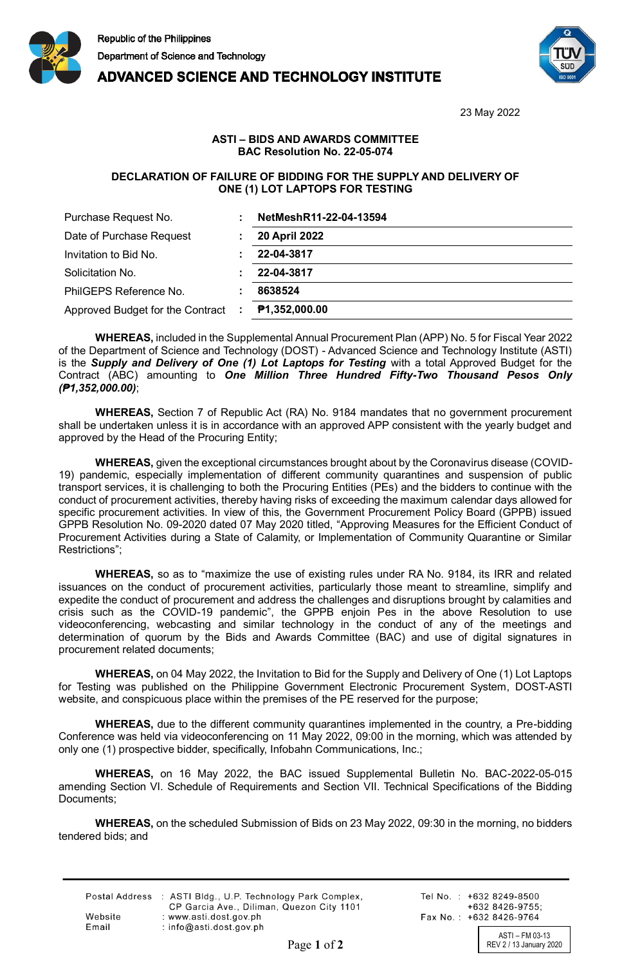

## **ADVANCED SCIENCE AND TECHNOLOGY INSTITUTE**



23 May 2022

## **ASTI – BIDS AND AWARDS COMMITTEE BAC Resolution No. 22-05-074**

## **DECLARATION OF FAILURE OF BIDDING FOR THE SUPPLY AND DELIVERY OF ONE (1) LOT LAPTOPS FOR TESTING**

| Purchase Request No.               | NetMeshR11-22-04-13594 |
|------------------------------------|------------------------|
| Date of Purchase Request           | <b>20 April 2022</b>   |
| Invitation to Bid No.              | 22-04-3817             |
| Solicitation No.                   | 22-04-3817             |
| PhilGEPS Reference No.             | 8638524                |
| Approved Budget for the Contract : | P1,352,000.00          |

**WHEREAS,** included in the Supplemental Annual Procurement Plan (APP) No. 5 for Fiscal Year 2022 of the Department of Science and Technology (DOST) - Advanced Science and Technology Institute (ASTI) is the *Supply and Delivery of One (1) Lot Laptops for Testing* with a total Approved Budget for the Contract (ABC) amounting to *One Million Three Hundred Fifty-Two Thousand Pesos Only (₱1,352,000.00)*;

**WHEREAS,** Section 7 of Republic Act (RA) No. 9184 mandates that no government procurement shall be undertaken unless it is in accordance with an approved APP consistent with the yearly budget and approved by the Head of the Procuring Entity;

**WHEREAS,** given the exceptional circumstances brought about by the Coronavirus disease (COVID-19) pandemic, especially implementation of different community quarantines and suspension of public transport services, it is challenging to both the Procuring Entities (PEs) and the bidders to continue with the conduct of procurement activities, thereby having risks of exceeding the maximum calendar days allowed for specific procurement activities. In view of this, the Government Procurement Policy Board (GPPB) issued GPPB Resolution No. 09-2020 dated 07 May 2020 titled, "Approving Measures for the Efficient Conduct of Procurement Activities during a State of Calamity, or Implementation of Community Quarantine or Similar Restrictions";

**WHEREAS,** so as to "maximize the use of existing rules under RA No. 9184, its IRR and related issuances on the conduct of procurement activities, particularly those meant to streamline, simplify and expedite the conduct of procurement and address the challenges and disruptions brought by calamities and crisis such as the COVID-19 pandemic", the GPPB enjoin Pes in the above Resolution to use videoconferencing, webcasting and similar technology in the conduct of any of the meetings and determination of quorum by the Bids and Awards Committee (BAC) and use of digital signatures in procurement related documents;

**WHEREAS,** on 04 May 2022, the Invitation to Bid for the Supply and Delivery of One (1) Lot Laptops for Testing was published on the Philippine Government Electronic Procurement System, DOST-ASTI website, and conspicuous place within the premises of the PE reserved for the purpose;

**WHEREAS,** due to the different community quarantines implemented in the country, a Pre-bidding Conference was held via videoconferencing on 11 May 2022, 09:00 in the morning, which was attended by only one (1) prospective bidder, specifically, Infobahn Communications, Inc.;

**WHEREAS,** on 16 May 2022, the BAC issued Supplemental Bulletin No. BAC-2022-05-015 amending Section VI. Schedule of Requirements and Section VII. Technical Specifications of the Bidding Documents;

**WHEREAS,** on the scheduled Submission of Bids on 23 May 2022, 09:30 in the morning, no bidders tendered bids; and

|         | Postal Address : ASTI Bldg., U.P. Technology Park Complex, |
|---------|------------------------------------------------------------|
|         | CP Garcia Ave., Diliman, Quezon City 1101                  |
| Website | : www.asti.dost.gov.ph                                     |
| Email   | $:$ info@asti.dost.gov.ph                                  |

Tel No.: +632 8249-8500  $+6328426-9755$ Fax No.: +632 8426-9764

ASTI – FM 03-13<br>REV 2 / 13 January 2020